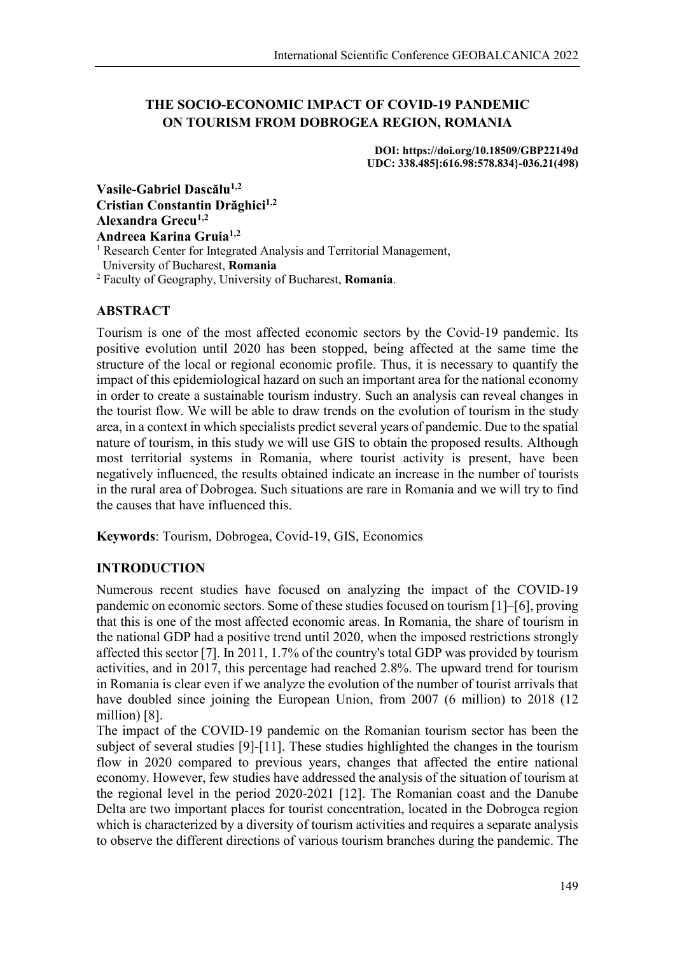# **THE SOCIO-ECONOMIC IMPACT OF COVID-19 PANDEMIC ON TOURISM FROM DOBROGEA REGION, ROMANIA**

**DOI: https://doi.org/10.18509/GBP22149d UDC: 338.485]:616.98:578.834}-036.21(498)**

**Vasile-Gabriel Dascălu1,2 Cristian Constantin Drăghici1,2 Alexandra Grecu1,2 Andreea Karina Gruia1,2** <sup>1</sup> Research Center for Integrated Analysis and Territorial Management,

University of Bucharest, **Romania**

<sup>2</sup> Faculty of Geography, University of Bucharest, **Romania**.

## **ABSTRACT**

Tourism is one of the most affected economic sectors by the Covid-19 pandemic. Its positive evolution until 2020 has been stopped, being affected at the same time the structure of the local or regional economic profile. Thus, it is necessary to quantify the impact of this epidemiological hazard on such an important area for the national economy in order to create a sustainable tourism industry. Such an analysis can reveal changes in the tourist flow. We will be able to draw trends on the evolution of tourism in the study area, in a context in which specialists predict several years of pandemic. Due to the spatial nature of tourism, in this study we will use GIS to obtain the proposed results. Although most territorial systems in Romania, where tourist activity is present, have been negatively influenced, the results obtained indicate an increase in the number of tourists in the rural area of Dobrogea. Such situations are rare in Romania and we will try to find the causes that have influenced this.

**Keywords**: Tourism, Dobrogea, Covid-19, GIS, Economics

#### **INTRODUCTION**

Numerous recent studies have focused on analyzing the impact of the COVID-19 pandemic on economic sectors. Some of these studies focused on tourism [1]–[6], proving that this is one of the most affected economic areas. In Romania, the share of tourism in the national GDP had a positive trend until 2020, when the imposed restrictions strongly affected this sector [7]. In 2011, 1.7% of the country's total GDP was provided by tourism activities, and in 2017, this percentage had reached 2.8%. The upward trend for tourism in Romania is clear even if we analyze the evolution of the number of tourist arrivals that have doubled since joining the European Union, from 2007 (6 million) to 2018 (12) million) [8].

The impact of the COVID-19 pandemic on the Romanian tourism sector has been the subject of several studies [9]-[11]. These studies highlighted the changes in the tourism flow in 2020 compared to previous years, changes that affected the entire national economy. However, few studies have addressed the analysis of the situation of tourism at the regional level in the period 2020-2021 [12]. The Romanian coast and the Danube Delta are two important places for tourist concentration, located in the Dobrogea region which is characterized by a diversity of tourism activities and requires a separate analysis to observe the different directions of various tourism branches during the pandemic. The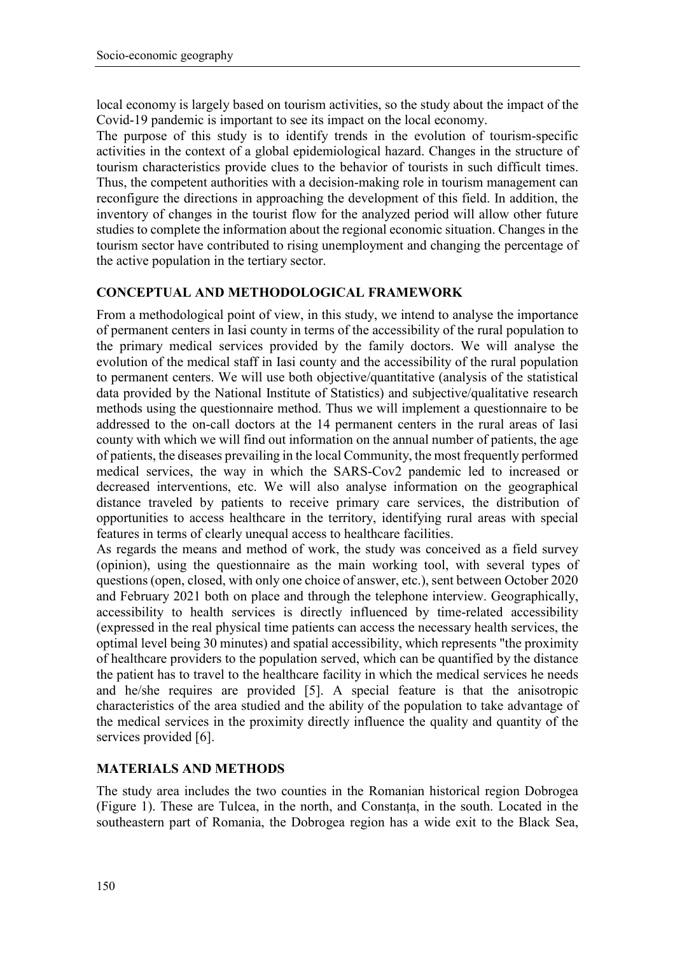local economy is largely based on tourism activities, so the study about the impact of the Covid-19 pandemic is important to see its impact on the local economy.

The purpose of this study is to identify trends in the evolution of tourism-specific activities in the context of a global epidemiological hazard. Changes in the structure of tourism characteristics provide clues to the behavior of tourists in such difficult times. Thus, the competent authorities with a decision-making role in tourism management can reconfigure the directions in approaching the development of this field. In addition, the inventory of changes in the tourist flow for the analyzed period will allow other future studies to complete the information about the regional economic situation. Changes in the tourism sector have contributed to rising unemployment and changing the percentage of the active population in the tertiary sector.

# **CONCEPTUAL AND METHODOLOGICAL FRAMEWORK**

From a methodological point of view, in this study, we intend to analyse the importance of permanent centers in Iasi county in terms of the accessibility of the rural population to the primary medical services provided by the family doctors. We will analyse the evolution of the medical staff in Iasi county and the accessibility of the rural population to permanent centers. We will use both objective/quantitative (analysis of the statistical data provided by the National Institute of Statistics) and subjective/qualitative research methods using the questionnaire method. Thus we will implement a questionnaire to be addressed to the on-call doctors at the 14 permanent centers in the rural areas of Iasi county with which we will find out information on the annual number of patients, the age of patients, the diseases prevailing in the local Community, the most frequently performed medical services, the way in which the SARS-Cov2 pandemic led to increased or decreased interventions, etc. We will also analyse information on the geographical distance traveled by patients to receive primary care services, the distribution of opportunities to access healthcare in the territory, identifying rural areas with special features in terms of clearly unequal access to healthcare facilities.

As regards the means and method of work, the study was conceived as a field survey (opinion), using the questionnaire as the main working tool, with several types of questions (open, closed, with only one choice of answer, etc.), sent between October 2020 and February 2021 both on place and through the telephone interview. Geographically, accessibility to health services is directly influenced by time-related accessibility (expressed in the real physical time patients can access the necessary health services, the optimal level being 30 minutes) and spatial accessibility, which represents "the proximity of healthcare providers to the population served, which can be quantified by the distance the patient has to travel to the healthcare facility in which the medical services he needs and he/she requires are provided [5]. A special feature is that the anisotropic characteristics of the area studied and the ability of the population to take advantage of the medical services in the proximity directly influence the quality and quantity of the services provided [6].

# **MATERIALS AND METHODS**

The study area includes the two counties in the Romanian historical region Dobrogea (Figure 1). These are Tulcea, in the north, and Constanța, in the south. Located in the southeastern part of Romania, the Dobrogea region has a wide exit to the Black Sea,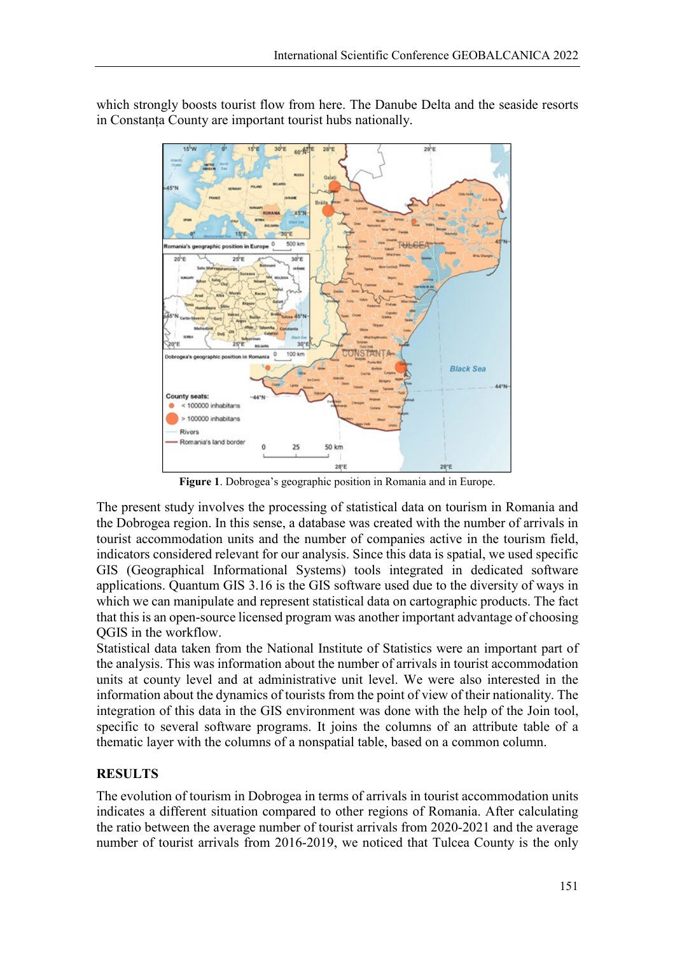

which strongly boosts tourist flow from here. The Danube Delta and the seaside resorts in Constanța County are important tourist hubs nationally.

**Figure 1**. Dobrogea's geographic position in Romania and in Europe.

The present study involves the processing of statistical data on tourism in Romania and the Dobrogea region. In this sense, a database was created with the number of arrivals in tourist accommodation units and the number of companies active in the tourism field, indicators considered relevant for our analysis. Since this data is spatial, we used specific GIS (Geographical Informational Systems) tools integrated in dedicated software applications. Quantum GIS 3.16 is the GIS software used due to the diversity of ways in which we can manipulate and represent statistical data on cartographic products. The fact that this is an open-source licensed program was another important advantage of choosing QGIS in the workflow.

Statistical data taken from the National Institute of Statistics were an important part of the analysis. This was information about the number of arrivals in tourist accommodation units at county level and at administrative unit level. We were also interested in the information about the dynamics of tourists from the point of view of their nationality. The integration of this data in the GIS environment was done with the help of the Join tool, specific to several software programs. It joins the columns of an attribute table of a thematic layer with the columns of a nonspatial table, based on a common column.

## **RESULTS**

The evolution of tourism in Dobrogea in terms of arrivals in tourist accommodation units indicates a different situation compared to other regions of Romania. After calculating the ratio between the average number of tourist arrivals from 2020-2021 and the average number of tourist arrivals from 2016-2019, we noticed that Tulcea County is the only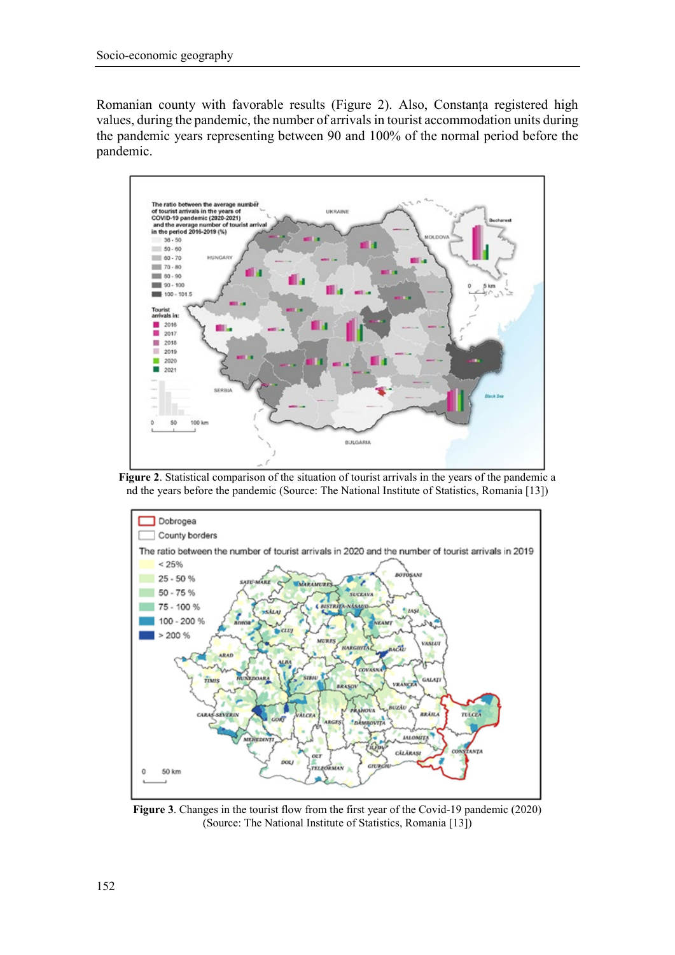Romanian county with favorable results (Figure 2). Also, Constanța registered high values, during the pandemic, the number of arrivals in tourist accommodation units during the pandemic years representing between 90 and 100% of the normal period before the pandemic.



**Figure 2**. Statistical comparison of the situation of tourist arrivals in the years of the pandemic a nd the years before the pandemic (Source: The National Institute of Statistics, Romania [13])



**Figure 3**. Changes in the tourist flow from the first year of the Covid-19 pandemic (2020) (Source: The National Institute of Statistics, Romania [13])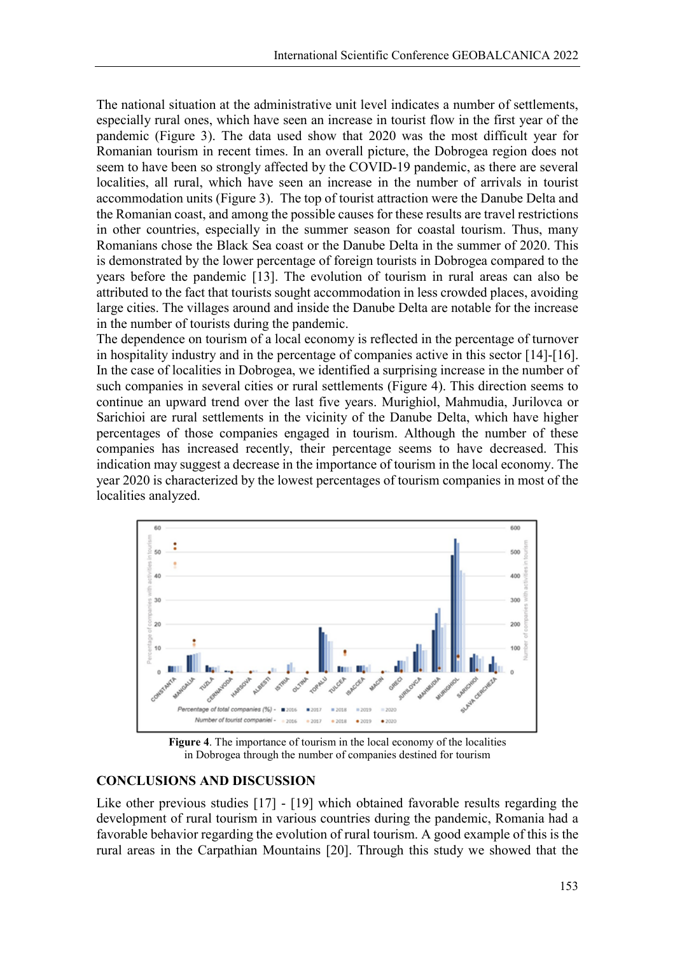The national situation at the administrative unit level indicates a number of settlements, especially rural ones, which have seen an increase in tourist flow in the first year of the pandemic (Figure 3). The data used show that 2020 was the most difficult year for Romanian tourism in recent times. In an overall picture, the Dobrogea region does not seem to have been so strongly affected by the COVID-19 pandemic, as there are several localities, all rural, which have seen an increase in the number of arrivals in tourist accommodation units (Figure 3). The top of tourist attraction were the Danube Delta and the Romanian coast, and among the possible causes for these results are travel restrictions in other countries, especially in the summer season for coastal tourism. Thus, many Romanians chose the Black Sea coast or the Danube Delta in the summer of 2020. This is demonstrated by the lower percentage of foreign tourists in Dobrogea compared to the years before the pandemic [13]. The evolution of tourism in rural areas can also be attributed to the fact that tourists sought accommodation in less crowded places, avoiding large cities. The villages around and inside the Danube Delta are notable for the increase in the number of tourists during the pandemic.

The dependence on tourism of a local economy is reflected in the percentage of turnover in hospitality industry and in the percentage of companies active in this sector [14]-[16]. In the case of localities in Dobrogea, we identified a surprising increase in the number of such companies in several cities or rural settlements (Figure 4). This direction seems to continue an upward trend over the last five years. Murighiol, Mahmudia, Jurilovca or Sarichioi are rural settlements in the vicinity of the Danube Delta, which have higher percentages of those companies engaged in tourism. Although the number of these companies has increased recently, their percentage seems to have decreased. This indication may suggest a decrease in the importance of tourism in the local economy. The year 2020 is characterized by the lowest percentages of tourism companies in most of the localities analyzed.



**Figure 4**. The importance of tourism in the local economy of the localities in Dobrogea through the number of companies destined for tourism

#### **CONCLUSIONS AND DISCUSSION**

Like other previous studies [17] - [19] which obtained favorable results regarding the development of rural tourism in various countries during the pandemic, Romania had a favorable behavior regarding the evolution of rural tourism. A good example of this is the rural areas in the Carpathian Mountains [20]. Through this study we showed that the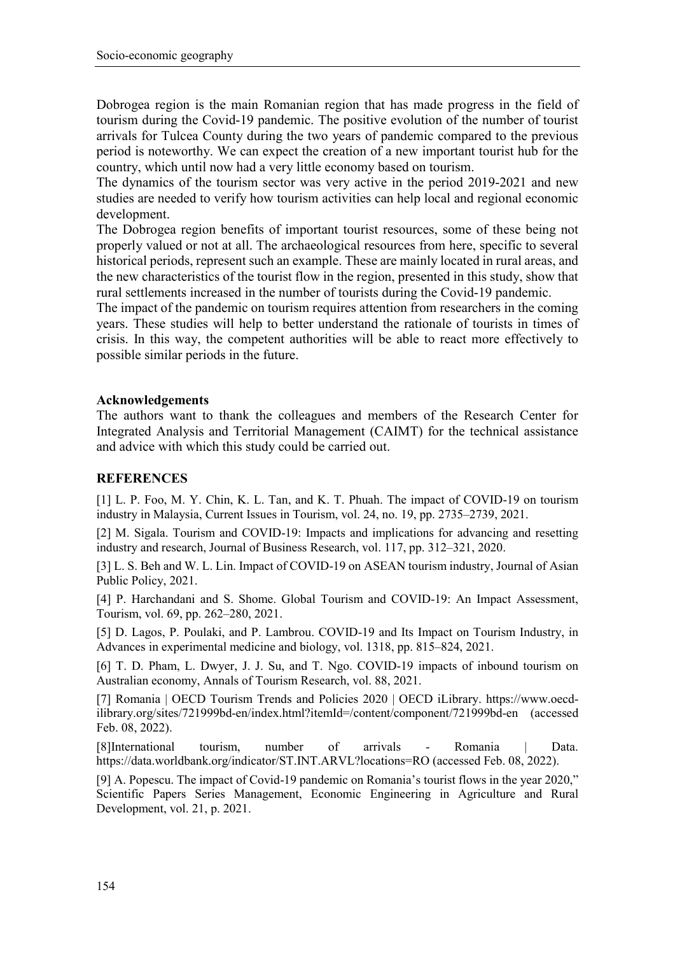Dobrogea region is the main Romanian region that has made progress in the field of tourism during the Covid-19 pandemic. The positive evolution of the number of tourist arrivals for Tulcea County during the two years of pandemic compared to the previous period is noteworthy. We can expect the creation of a new important tourist hub for the country, which until now had a very little economy based on tourism.

The dynamics of the tourism sector was very active in the period 2019-2021 and new studies are needed to verify how tourism activities can help local and regional economic development.

The Dobrogea region benefits of important tourist resources, some of these being not properly valued or not at all. The archaeological resources from here, specific to several historical periods, represent such an example. These are mainly located in rural areas, and the new characteristics of the tourist flow in the region, presented in this study, show that rural settlements increased in the number of tourists during the Covid-19 pandemic.

The impact of the pandemic on tourism requires attention from researchers in the coming years. These studies will help to better understand the rationale of tourists in times of crisis. In this way, the competent authorities will be able to react more effectively to possible similar periods in the future.

#### **Acknowledgements**

The authors want to thank the colleagues and members of the Research Center for Integrated Analysis and Territorial Management (CAIMT) for the technical assistance and advice with which this study could be carried out.

### **REFERENCES**

[1] L. P. Foo, M. Y. Chin, K. L. Tan, and K. T. Phuah. The impact of COVID-19 on tourism industry in Malaysia, Current Issues in Tourism, vol. 24, no. 19, pp. 2735–2739, 2021.

[2] M. Sigala. Tourism and COVID-19: Impacts and implications for advancing and resetting industry and research, Journal of Business Research, vol. 117, pp. 312–321, 2020.

[3] L. S. Beh and W. L. Lin. Impact of COVID-19 on ASEAN tourism industry, Journal of Asian Public Policy, 2021.

[4] P. Harchandani and S. Shome. Global Tourism and COVID-19: An Impact Assessment, Tourism, vol. 69, pp. 262–280, 2021.

[5] D. Lagos, P. Poulaki, and P. Lambrou. COVID-19 and Its Impact on Tourism Industry, in Advances in experimental medicine and biology, vol. 1318, pp. 815–824, 2021.

[6] T. D. Pham, L. Dwyer, J. J. Su, and T. Ngo. COVID-19 impacts of inbound tourism on Australian economy, Annals of Tourism Research, vol. 88, 2021.

[7] Romania | OECD Tourism Trends and Policies 2020 | OECD iLibrary. https://www.oecdilibrary.org/sites/721999bd-en/index.html?itemId=/content/component/721999bd-en (accessed Feb. 08, 2022).

[8]International tourism, number of arrivals - Romania | Data. https://data.worldbank.org/indicator/ST.INT.ARVL?locations=RO (accessed Feb. 08, 2022).

[9] A. Popescu. The impact of Covid-19 pandemic on Romania's tourist flows in the year 2020," Scientific Papers Series Management, Economic Engineering in Agriculture and Rural Development, vol. 21, p. 2021.